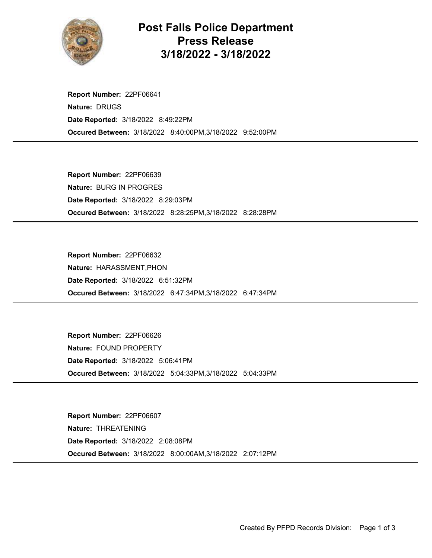

## Post Falls Police Department Press Release 3/18/2022 - 3/18/2022

Occured Between: 3/18/2022 8:40:00PM,3/18/2022 9:52:00PM Report Number: 22PF06641 Nature: DRUGS Date Reported: 3/18/2022 8:49:22PM

Occured Between: 3/18/2022 8:28:25PM,3/18/2022 8:28:28PM Report Number: 22PF06639 Nature: BURG IN PROGRES Date Reported: 3/18/2022 8:29:03PM

Occured Between: 3/18/2022 6:47:34PM,3/18/2022 6:47:34PM Report Number: 22PF06632 Nature: HARASSMENT,PHON Date Reported: 3/18/2022 6:51:32PM

Occured Between: 3/18/2022 5:04:33PM,3/18/2022 5:04:33PM Report Number: 22PF06626 Nature: FOUND PROPERTY Date Reported: 3/18/2022 5:06:41PM

Occured Between: 3/18/2022 8:00:00AM,3/18/2022 2:07:12PM Report Number: 22PF06607 Nature: THREATENING Date Reported: 3/18/2022 2:08:08PM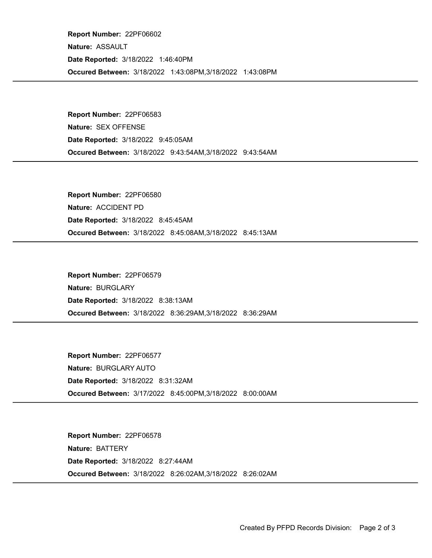Occured Between: 3/18/2022 1:43:08PM,3/18/2022 1:43:08PM Report Number: 22PF06602 Nature: ASSAULT Date Reported: 3/18/2022 1:46:40PM

Occured Between: 3/18/2022 9:43:54AM,3/18/2022 9:43:54AM Report Number: 22PF06583 Nature: SEX OFFENSE Date Reported: 3/18/2022 9:45:05AM

Occured Between: 3/18/2022 8:45:08AM,3/18/2022 8:45:13AM Report Number: 22PF06580 Nature: ACCIDENT PD Date Reported: 3/18/2022 8:45:45AM

Occured Between: 3/18/2022 8:36:29AM,3/18/2022 8:36:29AM Report Number: 22PF06579 Nature: BURGLARY Date Reported: 3/18/2022 8:38:13AM

Occured Between: 3/17/2022 8:45:00PM,3/18/2022 8:00:00AM Report Number: 22PF06577 Nature: BURGLARY AUTO Date Reported: 3/18/2022 8:31:32AM

Occured Between: 3/18/2022 8:26:02AM,3/18/2022 8:26:02AM Report Number: 22PF06578 Nature: BATTERY Date Reported: 3/18/2022 8:27:44AM